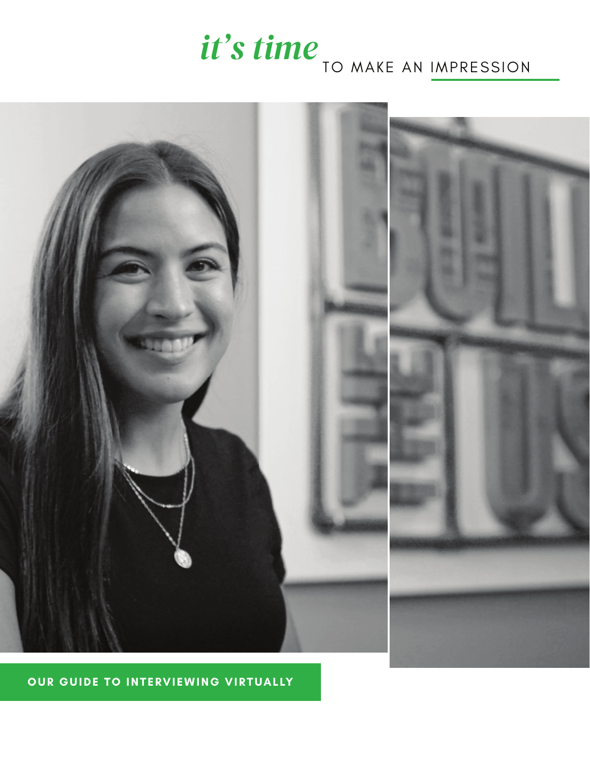# *it's time* TO MAKE AN IMPRESSION



### **OUR GUIDE TO INTERVIEWING VIRTUALLY**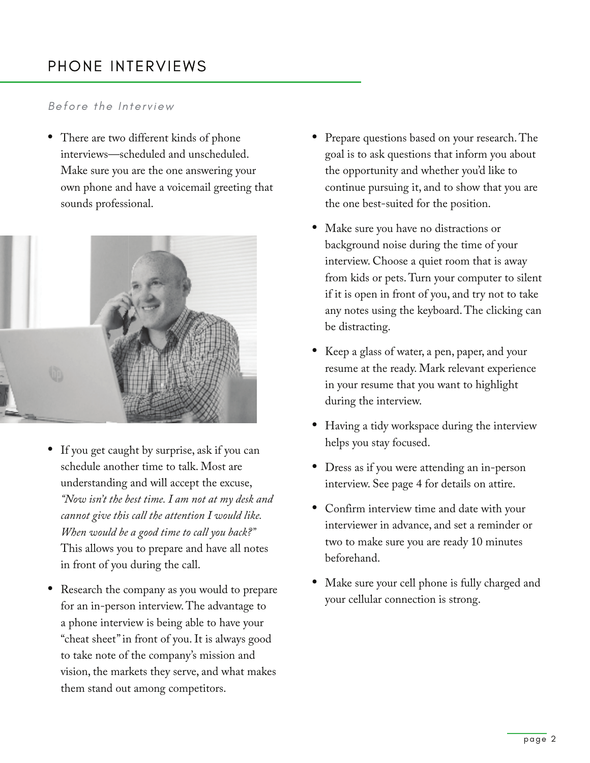## PHONE INTERVIEWS

#### *Before the Interview*

• There are two different kinds of phone interviews—scheduled and unscheduled. Make sure you are the one answering your own phone and have a voicemail greeting that sounds professional.



- If you get caught by surprise, ask if you can schedule another time to talk. Most are understanding and will accept the excuse, *"Now isn't the best time. I am not at my desk and cannot give this call the attention I would like. When would be a good time to call you back?"*  This allows you to prepare and have all notes in front of you during the call.
- Research the company as you would to prepare for an in-person interview. The advantage to a phone interview is being able to have your "cheat sheet" in front of you. It is always good to take note of the company's mission and vision, the markets they serve, and what makes them stand out among competitors.
- Prepare questions based on your research. The goal is to ask questions that inform you about the opportunity and whether you'd like to continue pursuing it, and to show that you are the one best-suited for the position.
- Make sure you have no distractions or background noise during the time of your interview. Choose a quiet room that is away from kids or pets. Turn your computer to silent if it is open in front of you, and try not to take any notes using the keyboard. The clicking can be distracting.
- Keep a glass of water, a pen, paper, and your resume at the ready. Mark relevant experience in your resume that you want to highlight during the interview.
- Having a tidy workspace during the interview helps you stay focused.
- Dress as if you were attending an in-person interview. See page 4 for details on attire.
- Confirm interview time and date with your interviewer in advance, and set a reminder or two to make sure you are ready 10 minutes beforehand.
- Make sure your cell phone is fully charged and your cellular connection is strong.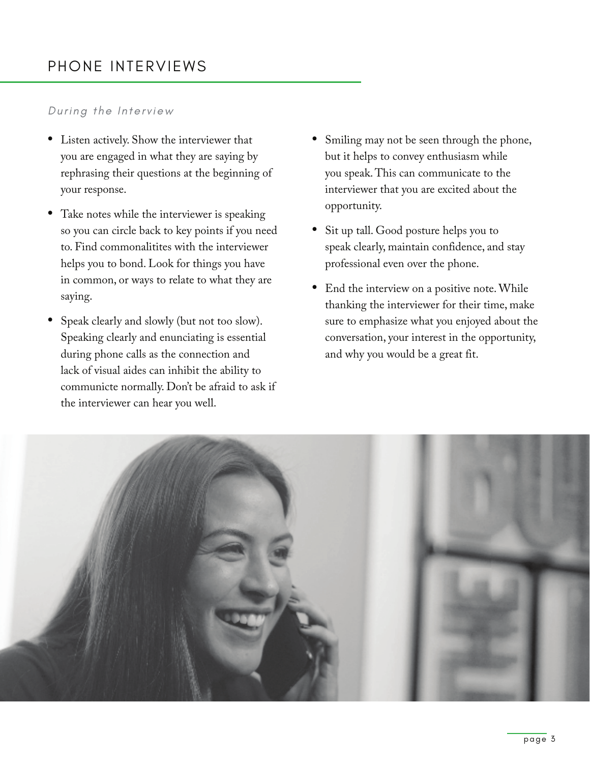### PHONE INTERVIEWS

#### *During the Interview*

- Listen actively. Show the interviewer that you are engaged in what they are saying by rephrasing their questions at the beginning of your response.
- Take notes while the interviewer is speaking so you can circle back to key points if you need to. Find commonalitites with the interviewer helps you to bond. Look for things you have in common, or ways to relate to what they are saying.
- Speak clearly and slowly (but not too slow). Speaking clearly and enunciating is essential during phone calls as the connection and lack of visual aides can inhibit the ability to communicte normally. Don't be afraid to ask if the interviewer can hear you well.
- Smiling may not be seen through the phone, but it helps to convey enthusiasm while you speak. This can communicate to the interviewer that you are excited about the opportunity.
- Sit up tall. Good posture helps you to speak clearly, maintain confidence, and stay professional even over the phone.
- End the interview on a positive note. While thanking the interviewer for their time, make sure to emphasize what you enjoyed about the conversation, your interest in the opportunity, and why you would be a great fit.

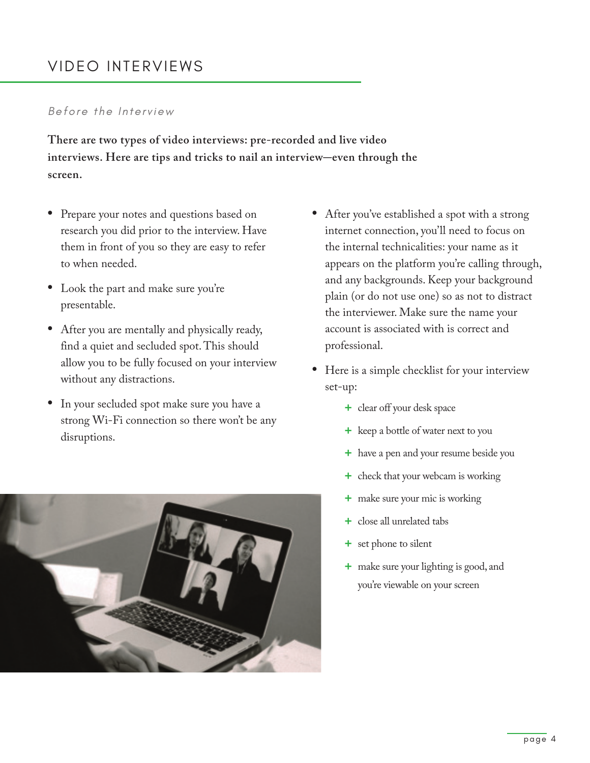## VIDEO INTERVIEWS

#### *Before the Interview*

**There are two types of video interviews: pre-recorded and live video interviews. Here are tips and tricks to nail an interview-even through the screen.** 

- Prepare your notes and questions based on research you did prior to the interview. Have them in front of you so they are easy to refer to when needed.
- Look the part and make sure you're presentable.
- After you are mentally and physically ready, find a quiet and secluded spot. This should allow you to be fully focused on your interview without any distractions.
- In your secluded spot make sure you have a strong Wi-Fi connection so there won't be any disruptions.



- After you've established a spot with a strong internet connection, you'll need to focus on the internal technicalities: your name as it appears on the platform you're calling through, and any backgrounds. Keep your background plain (or do not use one) so as not to distract the interviewer. Make sure the name your account is associated with is correct and professional.
- Here is a simple checklist for your interview set-up:
	- **+** clear off your desk space
	- **+** keep a bottle of water next to you
	- **+** have a pen and your resume beside you
	- **+** check that your webcam is working
	- **+** make sure your mic is working
	- **+** close all unrelated tabs
	- **+** set phone to silent
	- **+** make sure your lighting is good, and you're viewable on your screen